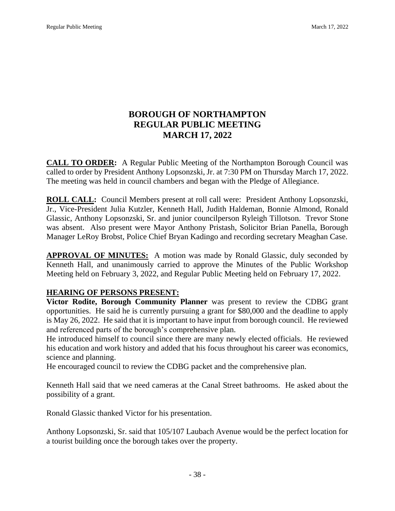# **BOROUGH OF NORTHAMPTON REGULAR PUBLIC MEETING MARCH 17, 2022**

**CALL TO ORDER:** A Regular Public Meeting of the Northampton Borough Council was called to order by President Anthony Lopsonzski, Jr. at 7:30 PM on Thursday March 17, 2022. The meeting was held in council chambers and began with the Pledge of Allegiance.

**ROLL CALL:** Council Members present at roll call were: President Anthony Lopsonzski, Jr., Vice-President Julia Kutzler, Kenneth Hall, Judith Haldeman, Bonnie Almond, Ronald Glassic, Anthony Lopsonzski, Sr. and junior councilperson Ryleigh Tillotson. Trevor Stone was absent. Also present were Mayor Anthony Pristash, Solicitor Brian Panella, Borough Manager LeRoy Brobst, Police Chief Bryan Kadingo and recording secretary Meaghan Case.

**APPROVAL OF MINUTES:** A motion was made by Ronald Glassic, duly seconded by Kenneth Hall, and unanimously carried to approve the Minutes of the Public Workshop Meeting held on February 3, 2022, and Regular Public Meeting held on February 17, 2022.

# **HEARING OF PERSONS PRESENT:**

**Victor Rodite, Borough Community Planner** was present to review the CDBG grant opportunities. He said he is currently pursuing a grant for \$80,000 and the deadline to apply is May 26, 2022. He said that it is important to have input from borough council. He reviewed and referenced parts of the borough's comprehensive plan.

He introduced himself to council since there are many newly elected officials. He reviewed his education and work history and added that his focus throughout his career was economics, science and planning.

He encouraged council to review the CDBG packet and the comprehensive plan.

Kenneth Hall said that we need cameras at the Canal Street bathrooms. He asked about the possibility of a grant.

Ronald Glassic thanked Victor for his presentation.

Anthony Lopsonzski, Sr. said that 105/107 Laubach Avenue would be the perfect location for a tourist building once the borough takes over the property.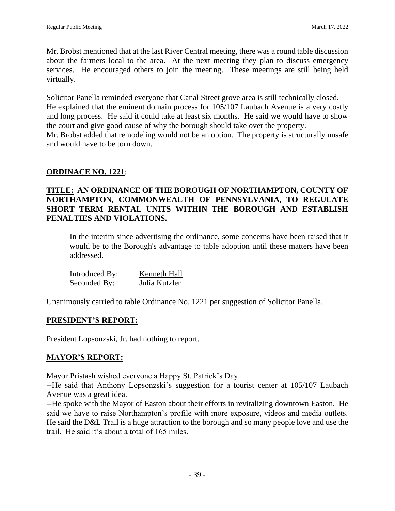Mr. Brobst mentioned that at the last River Central meeting, there was a round table discussion about the farmers local to the area. At the next meeting they plan to discuss emergency services. He encouraged others to join the meeting. These meetings are still being held virtually.

Solicitor Panella reminded everyone that Canal Street grove area is still technically closed. He explained that the eminent domain process for 105/107 Laubach Avenue is a very costly and long process. He said it could take at least six months. He said we would have to show the court and give good cause of why the borough should take over the property. Mr. Brobst added that remodeling would not be an option. The property is structurally unsafe and would have to be torn down.

# **ORDINACE NO. 1221**:

## **TITLE: AN ORDINANCE OF THE BOROUGH OF NORTHAMPTON, COUNTY OF NORTHAMPTON, COMMONWEALTH OF PENNSYLVANIA, TO REGULATE SHORT TERM RENTAL UNITS WITHIN THE BOROUGH AND ESTABLISH PENALTIES AND VIOLATIONS.**

In the interim since advertising the ordinance, some concerns have been raised that it would be to the Borough's advantage to table adoption until these matters have been addressed.

| Introduced By: | Kenneth Hall  |
|----------------|---------------|
| Seconded By:   | Julia Kutzler |

Unanimously carried to table Ordinance No. 1221 per suggestion of Solicitor Panella.

### **PRESIDENT'S REPORT:**

President Lopsonzski, Jr. had nothing to report.

### **MAYOR'S REPORT:**

Mayor Pristash wished everyone a Happy St. Patrick's Day.

--He said that Anthony Lopsonzski's suggestion for a tourist center at 105/107 Laubach Avenue was a great idea.

--He spoke with the Mayor of Easton about their efforts in revitalizing downtown Easton. He said we have to raise Northampton's profile with more exposure, videos and media outlets. He said the D&L Trail is a huge attraction to the borough and so many people love and use the trail. He said it's about a total of 165 miles.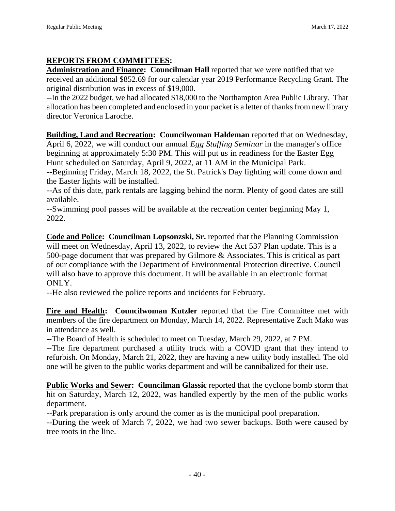# **REPORTS FROM COMMITTEES:**

**Administration and Finance: Councilman Hall** reported that we were notified that we received an additional \$852.69 for our calendar year 2019 Performance Recycling Grant. The original distribution was in excess of \$19,000.

--In the 2022 budget, we had allocated \$18,000 to the Northampton Area Public Library. That allocation has been completed and enclosed in your packet is a letter of thanks from new library director Veronica Laroche.

**Building, Land and Recreation: Councilwoman Haldeman** reported that on Wednesday, April 6, 2022, we will conduct our annual *Egg Stuffing Seminar* in the manager's office beginning at approximately 5:30 PM. This will put us in readiness for the Easter Egg Hunt scheduled on Saturday, April 9, 2022, at 11 AM in the Municipal Park.

--Beginning Friday, March 18, 2022, the St. Patrick's Day lighting will come down and the Easter lights will be installed.

--As of this date, park rentals are lagging behind the norm. Plenty of good dates are still available.

--Swimming pool passes will be available at the recreation center beginning May 1, 2022.

**Code and Police: Councilman Lopsonzski, Sr.** reported that the Planning Commission will meet on Wednesday, April 13, 2022, to review the Act 537 Plan update. This is a 500-page document that was prepared by Gilmore & Associates. This is critical as part of our compliance with the Department of Environmental Protection directive. Council will also have to approve this document. It will be available in an electronic format ONLY.

--He also reviewed the police reports and incidents for February.

**Fire and Health: Councilwoman Kutzler** reported that the Fire Committee met with members of the fire department on Monday, March 14, 2022. Representative Zach Mako was in attendance as well.

--The Board of Health is scheduled to meet on Tuesday, March 29, 2022, at 7 PM.

--The fire department purchased a utility truck with a COVID grant that they intend to refurbish. On Monday, March 21, 2022, they are having a new utility body installed. The old one will be given to the public works department and will be cannibalized for their use.

**Public Works and Sewer: Councilman Glassic** reported that the cyclone bomb storm that hit on Saturday, March 12, 2022, was handled expertly by the men of the public works department.

--Park preparation is only around the comer as is the municipal pool preparation.

--During the week of March 7, 2022, we had two sewer backups. Both were caused by tree roots in the line.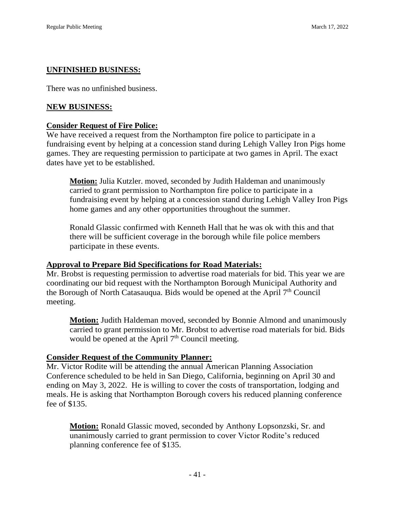### **UNFINISHED BUSINESS:**

There was no unfinished business.

#### **NEW BUSINESS:**

#### **Consider Request of Fire Police:**

We have received a request from the Northampton fire police to participate in a fundraising event by helping at a concession stand during Lehigh Valley Iron Pigs home games. They are requesting permission to participate at two games in April. The exact dates have yet to be established.

**Motion:** Julia Kutzler. moved, seconded by Judith Haldeman and unanimously carried to grant permission to Northampton fire police to participate in a fundraising event by helping at a concession stand during Lehigh Valley Iron Pigs home games and any other opportunities throughout the summer.

Ronald Glassic confirmed with Kenneth Hall that he was ok with this and that there will be sufficient coverage in the borough while file police members participate in these events.

#### **Approval to Prepare Bid Specifications for Road Materials:**

Mr. Brobst is requesting permission to advertise road materials for bid. This year we are coordinating our bid request with the Northampton Borough Municipal Authority and the Borough of North Catasauqua. Bids would be opened at the April  $7<sup>th</sup>$  Council meeting.

**Motion:** Judith Haldeman moved, seconded by Bonnie Almond and unanimously carried to grant permission to Mr. Brobst to advertise road materials for bid. Bids would be opened at the April  $7<sup>th</sup>$  Council meeting.

#### **Consider Request of the Community Planner:**

Mr. Victor Rodite will be attending the annual American Planning Association Conference scheduled to be held in San Diego, California, beginning on April 30 and ending on May 3, 2022. He is willing to cover the costs of transportation, lodging and meals. He is asking that Northampton Borough covers his reduced planning conference fee of \$135.

**Motion:** Ronald Glassic moved, seconded by Anthony Lopsonzski, Sr. and unanimously carried to grant permission to cover Victor Rodite's reduced planning conference fee of \$135.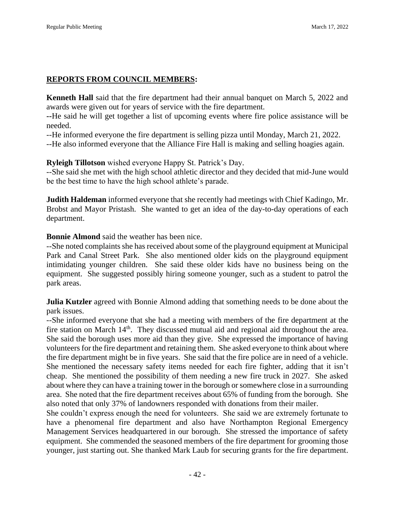# **REPORTS FROM COUNCIL MEMBERS:**

**Kenneth Hall** said that the fire department had their annual banquet on March 5, 2022 and awards were given out for years of service with the fire department.

**--**He said he will get together a list of upcoming events where fire police assistance will be needed.

--He informed everyone the fire department is selling pizza until Monday, March 21, 2022.

--He also informed everyone that the Alliance Fire Hall is making and selling hoagies again.

**Ryleigh Tillotson** wished everyone Happy St. Patrick's Day.

--She said she met with the high school athletic director and they decided that mid-June would be the best time to have the high school athlete's parade.

**Judith Haldeman** informed everyone that she recently had meetings with Chief Kadingo, Mr. Brobst and Mayor Pristash. She wanted to get an idea of the day-to-day operations of each department.

**Bonnie Almond** said the weather has been nice.

--She noted complaints she has received about some of the playground equipment at Municipal Park and Canal Street Park. She also mentioned older kids on the playground equipment intimidating younger children. She said these older kids have no business being on the equipment. She suggested possibly hiring someone younger, such as a student to patrol the park areas.

**Julia Kutzler** agreed with Bonnie Almond adding that something needs to be done about the park issues.

--She informed everyone that she had a meeting with members of the fire department at the fire station on March 14<sup>th</sup>. They discussed mutual aid and regional aid throughout the area. She said the borough uses more aid than they give. She expressed the importance of having volunteers for the fire department and retaining them. She asked everyone to think about where the fire department might be in five years. She said that the fire police are in need of a vehicle. She mentioned the necessary safety items needed for each fire fighter, adding that it isn't cheap. She mentioned the possibility of them needing a new fire truck in 2027. She asked about where they can have a training tower in the borough or somewhere close in a surrounding area. She noted that the fire department receives about 65% of funding from the borough. She also noted that only 37% of landowners responded with donations from their mailer.

She couldn't express enough the need for volunteers. She said we are extremely fortunate to have a phenomenal fire department and also have Northampton Regional Emergency Management Services headquartered in our borough. She stressed the importance of safety equipment. She commended the seasoned members of the fire department for grooming those younger, just starting out. She thanked Mark Laub for securing grants for the fire department.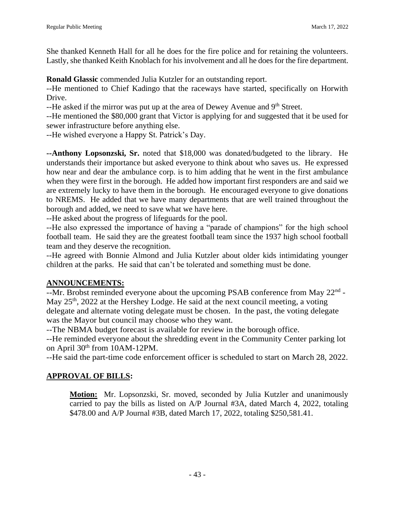She thanked Kenneth Hall for all he does for the fire police and for retaining the volunteers. Lastly, she thanked Keith Knoblach for his involvement and all he does for the fire department.

**Ronald Glassic** commended Julia Kutzler for an outstanding report.

--He mentioned to Chief Kadingo that the raceways have started, specifically on Horwith Drive.

--He asked if the mirror was put up at the area of Dewey Avenue and 9<sup>th</sup> Street.

--He mentioned the \$80,000 grant that Victor is applying for and suggested that it be used for sewer infrastructure before anything else.

--He wished everyone a Happy St. Patrick's Day.

**--Anthony Lopsonzski, Sr.** noted that \$18,000 was donated/budgeted to the library. He understands their importance but asked everyone to think about who saves us. He expressed how near and dear the ambulance corp. is to him adding that he went in the first ambulance when they were first in the borough. He added how important first responders are and said we are extremely lucky to have them in the borough. He encouraged everyone to give donations to NREMS. He added that we have many departments that are well trained throughout the borough and added, we need to save what we have here.

--He asked about the progress of lifeguards for the pool.

--He also expressed the importance of having a "parade of champions" for the high school football team. He said they are the greatest football team since the 1937 high school football team and they deserve the recognition.

--He agreed with Bonnie Almond and Julia Kutzler about older kids intimidating younger children at the parks. He said that can't be tolerated and something must be done.

### **ANNOUNCEMENTS:**

 $-$ Mr. Brobst reminded everyone about the upcoming PSAB conference from May  $22<sup>nd</sup>$  -May 25<sup>th</sup>, 2022 at the Hershey Lodge. He said at the next council meeting, a voting delegate and alternate voting delegate must be chosen. In the past, the voting delegate was the Mayor but council may choose who they want.

--The NBMA budget forecast is available for review in the borough office.

--He reminded everyone about the shredding event in the Community Center parking lot on April 30<sup>th</sup> from 10AM-12PM.

--He said the part-time code enforcement officer is scheduled to start on March 28, 2022.

### **APPROVAL OF BILLS:**

**Motion:** Mr. Lopsonzski, Sr. moved, seconded by Julia Kutzler and unanimously carried to pay the bills as listed on A/P Journal #3A, dated March 4, 2022, totaling \$478.00 and A/P Journal #3B, dated March 17, 2022, totaling \$250,581.41.